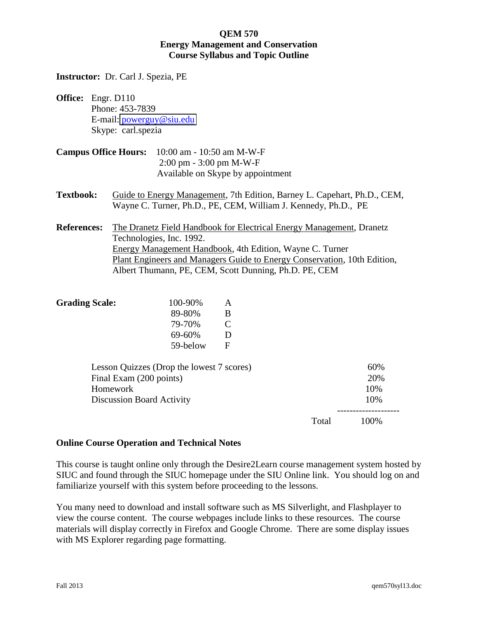**Instructor:** Dr. Carl J. Spezia, PE

- **Office:** Engr. D110 Phone: 453-7839 E-mail: [powerguy@siu.edu](mailto:powerguy@siu.edu) Skype: carl.spezia
- **Campus Office Hours:** 10:00 am 10:50 am M-W-F 2:00 pm - 3:00 pm M-W-F Available on Skype by appointment
- **Textbook:** Guide to Energy Management, 7th Edition, Barney L. Capehart, Ph.D., CEM, Wayne C. Turner, Ph.D., PE, CEM, William J. Kennedy, Ph.D., PE
- **References:** The Dranetz Field Handbook for Electrical Energy Management, Dranetz Technologies, Inc. 1992. Energy Management Handbook, 4th Edition, Wayne C. Turner Plant Engineers and Managers Guide to Energy Conservation, 10th Edition, Albert Thumann, PE, CEM, Scott Dunning, Ph.D. PE, CEM

| 100-90%  | A         |
|----------|-----------|
| 89-80%   | В         |
| 79-70%   | $\bullet$ |
| 69-60%   | D         |
| 59-below | F         |
|          |           |

|       | 60%  |
|-------|------|
|       | 20%  |
|       | 10%  |
|       | 10%  |
| Total | 100% |
|       |      |

## **Online Course Operation and Technical Notes**

This course is taught online only through the Desire2Learn course management system hosted by SIUC and found through the SIUC homepage under the SIU Online link. You should log on and familiarize yourself with this system before proceeding to the lessons.

You many need to download and install software such as MS Silverlight, and Flashplayer to view the course content. The course webpages include links to these resources. The course materials will display correctly in Firefox and Google Chrome. There are some display issues with MS Explorer regarding page formatting.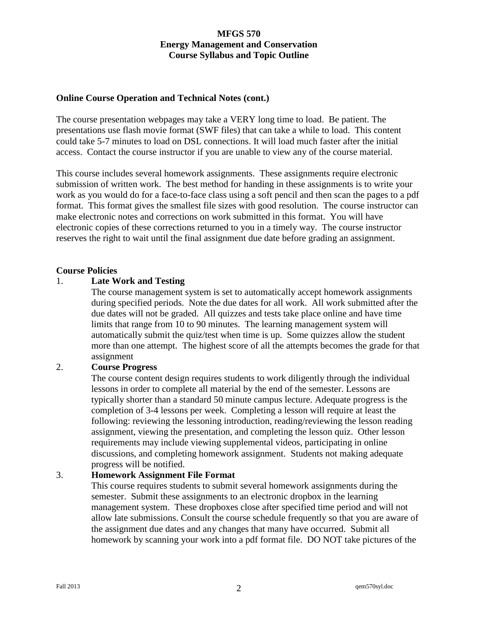## **Online Course Operation and Technical Notes (cont.)**

The course presentation webpages may take a VERY long time to load. Be patient. The presentations use flash movie format (SWF files) that can take a while to load. This content could take 5-7 minutes to load on DSL connections. It will load much faster after the initial access. Contact the course instructor if you are unable to view any of the course material.

This course includes several homework assignments. These assignments require electronic submission of written work. The best method for handing in these assignments is to write your work as you would do for a face-to-face class using a soft pencil and then scan the pages to a pdf format. This format gives the smallest file sizes with good resolution. The course instructor can make electronic notes and corrections on work submitted in this format. You will have electronic copies of these corrections returned to you in a timely way. The course instructor reserves the right to wait until the final assignment due date before grading an assignment.

## **Course Policies**

## 1. **Late Work and Testing**

 The course management system is set to automatically accept homework assignments during specified periods. Note the due dates for all work. All work submitted after the due dates will not be graded. All quizzes and tests take place online and have time limits that range from 10 to 90 minutes. The learning management system will automatically submit the quiz/test when time is up. Some quizzes allow the student more than one attempt. The highest score of all the attempts becomes the grade for that assignment

## 2. **Course Progress**

 The course content design requires students to work diligently through the individual lessons in order to complete all material by the end of the semester. Lessons are typically shorter than a standard 50 minute campus lecture. Adequate progress is the completion of 3-4 lessons per week. Completing a lesson will require at least the following: reviewing the lessoning introduction, reading/reviewing the lesson reading assignment, viewing the presentation, and completing the lesson quiz. Other lesson requirements may include viewing supplemental videos, participating in online discussions, and completing homework assignment. Students not making adequate progress will be notified.

## 3. **Homework Assignment File Format**

 This course requires students to submit several homework assignments during the semester. Submit these assignments to an electronic dropbox in the learning management system. These dropboxes close after specified time period and will not allow late submissions. Consult the course schedule frequently so that you are aware of the assignment due dates and any changes that many have occurred. Submit all homework by scanning your work into a pdf format file. DO NOT take pictures of the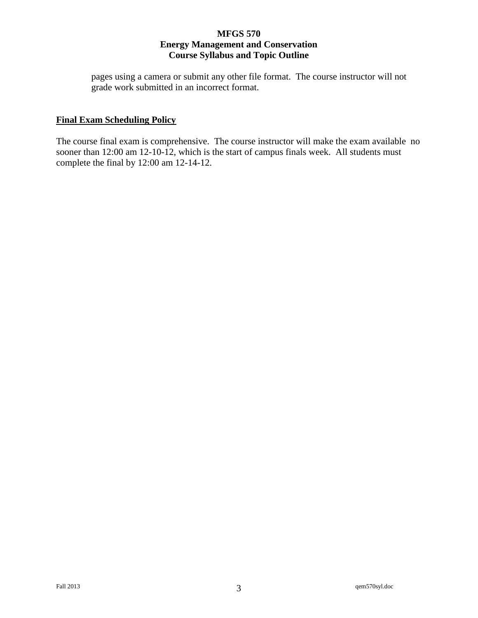pages using a camera or submit any other file format. The course instructor will not grade work submitted in an incorrect format.

## **Final Exam Scheduling Policy**

The course final exam is comprehensive. The course instructor will make the exam available no sooner than 12:00 am 12-10-12, which is the start of campus finals week. All students must complete the final by 12:00 am 12-14-12.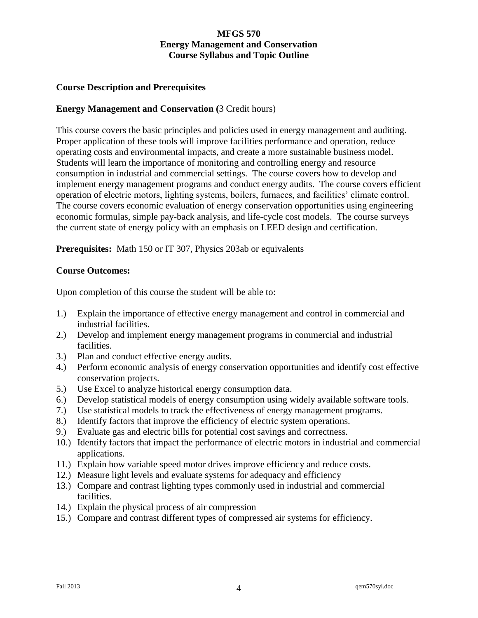## **Course Description and Prerequisites**

## **Energy Management and Conservation (**3 Credit hours)

This course covers the basic principles and policies used in energy management and auditing. Proper application of these tools will improve facilities performance and operation, reduce operating costs and environmental impacts, and create a more sustainable business model. Students will learn the importance of monitoring and controlling energy and resource consumption in industrial and commercial settings. The course covers how to develop and implement energy management programs and conduct energy audits. The course covers efficient operation of electric motors, lighting systems, boilers, furnaces, and facilities' climate control. The course covers economic evaluation of energy conservation opportunities using engineering economic formulas, simple pay-back analysis, and life-cycle cost models. The course surveys the current state of energy policy with an emphasis on LEED design and certification.

**Prerequisites:** Math 150 or IT 307, Physics 203ab or equivalents

## **Course Outcomes:**

Upon completion of this course the student will be able to:

- 1.) Explain the importance of effective energy management and control in commercial and industrial facilities.
- 2.) Develop and implement energy management programs in commercial and industrial facilities.
- 3.) Plan and conduct effective energy audits.
- 4.) Perform economic analysis of energy conservation opportunities and identify cost effective conservation projects.
- 5.) Use Excel to analyze historical energy consumption data.
- 6.) Develop statistical models of energy consumption using widely available software tools.
- 7.) Use statistical models to track the effectiveness of energy management programs.
- 8.) Identify factors that improve the efficiency of electric system operations.
- 9.) Evaluate gas and electric bills for potential cost savings and correctness.
- 10.) Identify factors that impact the performance of electric motors in industrial and commercial applications.
- 11.) Explain how variable speed motor drives improve efficiency and reduce costs.
- 12.) Measure light levels and evaluate systems for adequacy and efficiency
- 13.) Compare and contrast lighting types commonly used in industrial and commercial facilities.
- 14.) Explain the physical process of air compression
- 15.) Compare and contrast different types of compressed air systems for efficiency.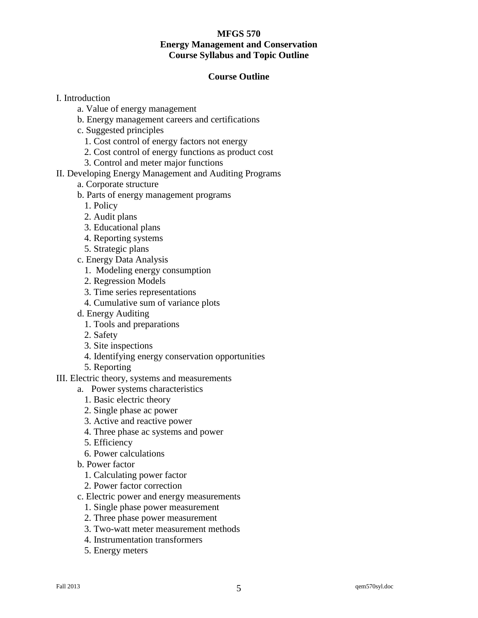## **Course Outline**

- I. Introduction
	- a. Value of energy management
	- b. Energy management careers and certifications
	- c. Suggested principles
		- 1. Cost control of energy factors not energy
		- 2. Cost control of energy functions as product cost
		- 3. Control and meter major functions
- II. Developing Energy Management and Auditing Programs
	- a. Corporate structure
	- b. Parts of energy management programs
		- 1. Policy
		- 2. Audit plans
		- 3. Educational plans
		- 4. Reporting systems
		- 5. Strategic plans
	- c. Energy Data Analysis
		- 1. Modeling energy consumption
		- 2. Regression Models
		- 3. Time series representations
		- 4. Cumulative sum of variance plots
	- d. Energy Auditing
		- 1. Tools and preparations
		- 2. Safety
		- 3. Site inspections
		- 4. Identifying energy conservation opportunities
		- 5. Reporting
- III. Electric theory, systems and measurements
	- a. Power systems characteristics
		- 1. Basic electric theory
		- 2. Single phase ac power
		- 3. Active and reactive power
		- 4. Three phase ac systems and power
		- 5. Efficiency
		- 6. Power calculations
	- b. Power factor
		- 1. Calculating power factor
		- 2. Power factor correction
	- c. Electric power and energy measurements
		- 1. Single phase power measurement
		- 2. Three phase power measurement
		- 3. Two-watt meter measurement methods
		- 4. Instrumentation transformers
		- 5. Energy meters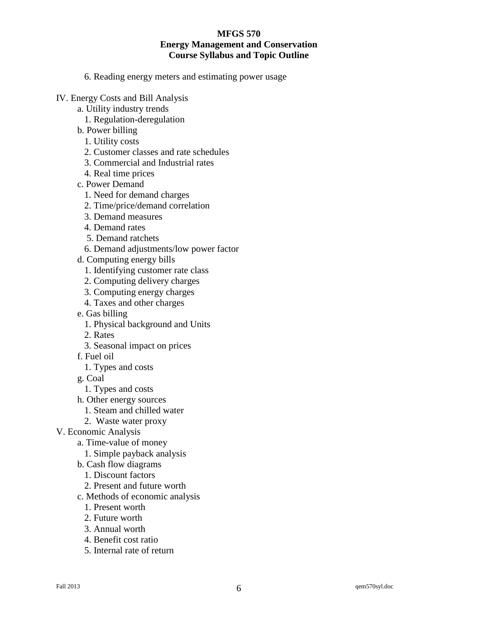6. Reading energy meters and estimating power usage

- IV. Energy Costs and Bill Analysis
	- a. Utility industry trends
		- 1. Regulation-deregulation
	- b. Power billing
		- 1. Utility costs
		- 2. Customer classes and rate schedules
		- 3. Commercial and Industrial rates
		- 4. Real time prices
	- c. Power Demand
		- 1. Need for demand charges
		- 2. Time/price/demand correlation
		- 3. Demand measures
		- 4. Demand rates
		- 5. Demand ratchets
		- 6. Demand adjustments/low power factor
	- d. Computing energy bills
		- 1. Identifying customer rate class
		- 2. Computing delivery charges
		- 3. Computing energy charges
		- 4. Taxes and other charges
	- e. Gas billing
		- 1. Physical background and Units
		- 2. Rates
		- 3. Seasonal impact on prices
	- f. Fuel oil
		- 1. Types and costs
	- g. Coal
		- 1. Types and costs
	- h. Other energy sources
		- 1. Steam and chilled water
	- 2. Waste water proxy
- V. Economic Analysis
	- a. Time-value of money
		- 1. Simple payback analysis
	- b. Cash flow diagrams
		- 1. Discount factors
		- 2. Present and future worth
	- c. Methods of economic analysis
		- 1. Present worth
		- 2. Future worth
		- 3. Annual worth
		- 4. Benefit cost ratio
		- 5. Internal rate of return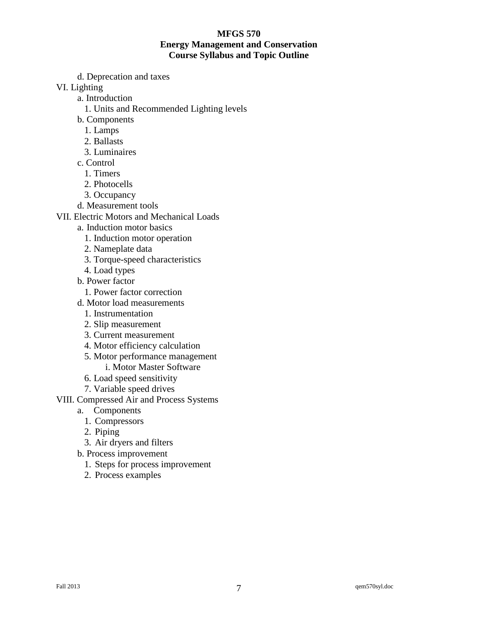d. Deprecation and taxes

VI. Lighting

- a. Introduction
	- 1. Units and Recommended Lighting levels
- b. Components
	- 1. Lamps
	- 2. Ballasts
	- 3. Luminaires
- c. Control
	- 1. Timers
	- 2. Photocells
	- 3. Occupancy
- d. Measurement tools
- VII. Electric Motors and Mechanical Loads
	- a. Induction motor basics
		- 1. Induction motor operation
		- 2. Nameplate data
		- 3. Torque-speed characteristics
		- 4. Load types
	- b. Power factor
		- 1. Power factor correction
	- d. Motor load measurements
		- 1. Instrumentation
		- 2. Slip measurement
		- 3. Current measurement
		- 4. Motor efficiency calculation
		- 5. Motor performance management
			- i. Motor Master Software
		- 6. Load speed sensitivity
		- 7. Variable speed drives
- VIII. Compressed Air and Process Systems
	- a. Components
		- 1. Compressors
		- 2. Piping
		- 3. Air dryers and filters
	- b. Process improvement
		- 1. Steps for process improvement
		- 2. Process examples